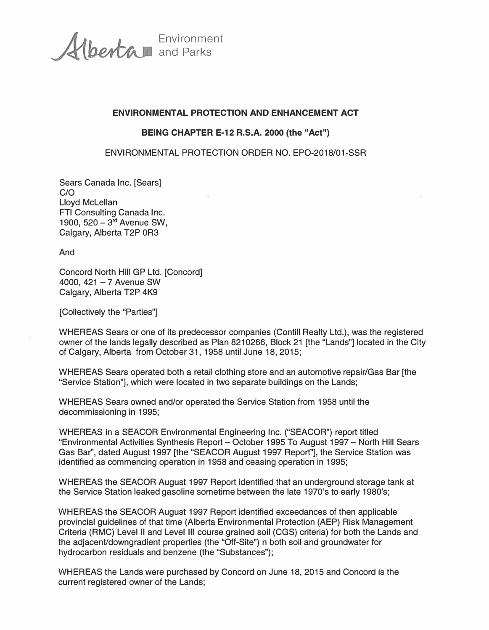Environment and Parks

## **ENVIRONMENTAL PROTECTION AND ENHANCEMENT ACT**

## **BEING CHAPTER E-12 R.S.A. 2000 (the "Act")**

## ENVIRONMENTAL PROTECTION ORDER NO. EPO-2018/01-SSR

Sears Canada Inc. [Sears] C/O Lloyd Mclellan FTI Consulting Canada Inc. 1900,  $520 - 3^{rd}$  Avenue SW, Calgary, Alberta T2P 0R3

And

Concord North Hill GP Ltd. [Concord] 4000, 421 - 7 Avenue SW Calgary, Alberta T2P 4K9

[Collectively the "Parties"]

WHEREAS Sears or one of its predecessor companies (Contill Realty Ltd.), was the registered owner of the lands legally described as Plan 8210266, Block 21 [the "Lands"] located in the City of Calgary, Alberta from October 31, 1958 until June 18, 2015;

WHEREAS Sears operated both a retail clothing store and an automotive repair/Gas Bar [the "Service Station"], which were located in two separate buildings on the Lands;

WHEREAS Sears owned and/or operated the Service Station from 1958 until the decommissioning in 1995;

WHEREAS in a SEACOR Environmental Engineering Inc. ("SEACOR") report titled "Environmental Activities Synthesis Report - October 1995 To August 1997 - North Hill Sears Gas Bar'', dated August 1997 [the "SEACOR August 1997 Report"], the Service Station was identified as commencing operation in 1958 and ceasing operation in 1995;

WHEREAS the SEACOR August 1997 Report identified that an underground storage tank at the Service Station leaked gasoline sometime between the late 1970's to early 1980's;

WHEREAS the SEACOR August 1997 Report identified exceedances of then applicable provincial guidelines of that time (Alberta Environmental Protection (AEP) Risk Management Criteria (AMC) Level II and Level Ill course grained soil (CGS) criteria) for both the Lands and the adjacent/downgradient properties (the "Off-Site") n both soil and groundwater for hydrocarbon residuals and benzene (the "Substances");

WHEREAS the Lands were purchased by Concord on June 18, 2015 and Concord is the current registered owner of the Lands;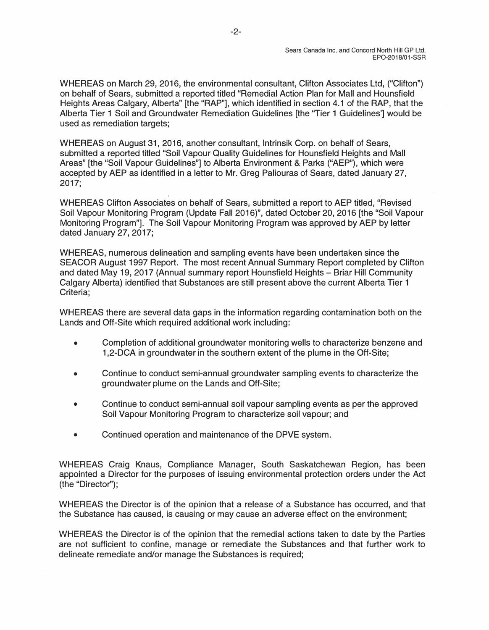WHEREAS on March 29, 2016, the environmental consultant, Clifton Associates Ltd, ("Clifton") on behalf of Sears, submitted a reported titled "Remedial Action Plan for Mall and Hounsfield Heights Areas Calgary, Alberta" [the "RAP"], which identified in section 4.1 of the RAP, that the Alberta Tier 1 Soil and Groundwater Remediation Guidelines [the "Tier 1 Guidelines'] would be used as remediation targets;

WHEREAS on August 31, 2016, another consultant, lntrinsik Corp. on behalf of Sears, submitted a reported titled "Soil Vapour Quality Guidelines for Hounsfield Heights and Mall Areas" [the "Soil Vapour Guidelines"] to Alberta Environment & Parks ("AEP"}, which were accepted by AEP as identified in a letter to Mr. Greg Paliouras of Sears, dated January 27, 2017;

' . WHEREAS Clifton Associates on behalf of Sears, submitted a report to AEP titled, "Revised Soil Vapour Monitoring Program (Update Fall 2016)", dated October 20, 2016 [the "Soil Vapour Monitoring Program"]. The Soil Vapour Monitoring Program was approved by AEP by letter dated January 27, 2017;

WHEREAS, numerous delineation and sampling events have been undertaken since the SEACOR August 1997 Report. The most recent Annual Summary Report completed by Clifton and dated May 19, 2017 (Annual summary report Hounsfield Heights - Briar Hill Community Calgary Alberta) identified that Substances are still present above the current Alberta Tier 1 Criteria;

WHEREAS there are several data gaps in the information regarding contamination both on the Lands and Off-Site which required additional work including:

- Completion of additional groundwater monitoring wells to characterize benzene and 1,2-DCA in groundwater in the southern extent of the plume in the Off-Site;
- Continue to conduct semi-annual groundwater sampling events to characterize the groundwater plume on the Lands and Off-Site;
- Continue to conduct semi-annual soil vapour sampling events as per the approved Soil Vapour Monitoring Program to characterize soil vapour; and
- Continued operation and maintenance of the DPVE system.

WHEREAS Craig Knaus, Compliance Manager, South Saskatchewan Region, has been appointed a Director for the purposes of issuing environmental protection orders under the Act (the "Director''};

WHEREAS the Director is of the opinion that a release of a Substance has occurred, and that the Substance has caused, is causing or may cause an adverse effect on the environment;

WHEREAS the Director is of the opinion that the remedial actions taken to date by the Parties are not sufficient to confine, manage or remediate the Substances and that further work to delineate remediate and/or manage the Substances is required;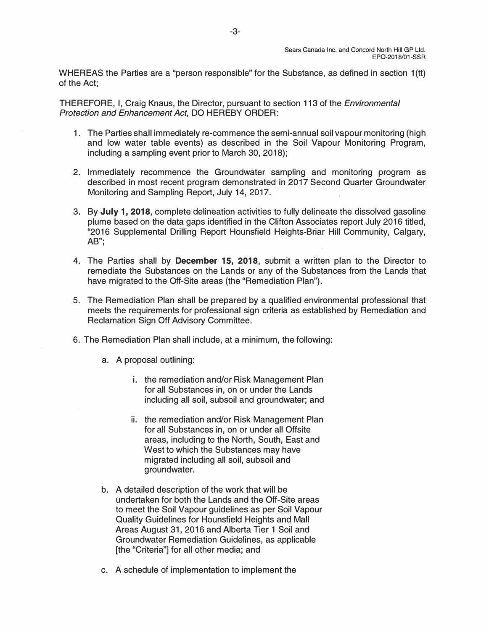WHEREAS the Parties are a "person responsible" for the Substance, as defined in section 1(tt) of the Act;

THEREFORE, I, Craig Knaus, the Director, pursuant to section 113 of the *Environmental Protection and Enhancement Act,* DO HEREBY ORDER:

- 1. The Parties shall immediately re-commence the semi-annual soil vapour monitoring (high and low water table events) as described in the Soil Vapour Monitoring Program, including a sampling event prior to March 30, 2018);
- 2. Immediately recommence the Groundwater sampling and monitoring program as described in most recent program demonstrated in 2017 Second Quarter Groundwater Monitoring and Sampling Report, July 14, 2017.
- 3. By **July 1, 2018,** complete delineation activities to fully delineate the dissolved gasoline plume based on the data gaps identified in the Clifton Associates report July 2016 titled, "2016 Supplemental Drilling Report Hounsfield Heights-Briar Hill Community, Calgary, AB";
- 4. The Parties shall by **December 15, 2018,** submit a written plan to the Director to remediate the Substances on the Lands or any of the Substances from the Lands that have migrated to the Off-Site areas (the "Remediation Plan").
- 5. The Remediation Plan shall be prepared by a qualified environmental professional that meets the requirements for professional sign criteria as established by Remediation and Reclamation Sign Off Advisory Committee.
- 6. The Remediation Plan shall include, at a minimum, the following:
	- a. A proposal outlining:
		- i. the remediation and/or Risk Management Plan for all Substances in, on or under the Lands including all soil, subsoil and groundwater; and
		- ii. the remediation and/or Risk Management Plan for all Substances in, on or under all Offsite areas, including to the North, South, East and West to which the Substances may have migrated including all soil, subsoil and groundwater.
	- b. A detailed description of the work that will be undertaken for both the Lands and the Off-Site areas to meet the Soil Vapour guidelines as per Soil Vapour Quality Guidelines for Hounsfield Heights and Mall Areas August 31, 2016 and Alberta Tier 1 Soil and Groundwater Remediation Guidelines, as applicable [the "Criteria"] for all other media; and
	- c. A schedule of implementation to implement the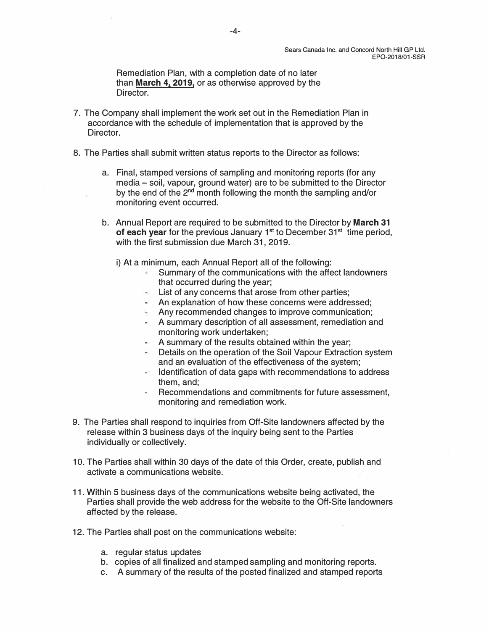**Remediation Plan, with a completion date of no later than March 4, 2019, or as otherwise approved by the Director.** 

- **7. The Company shall implement the work set out in the Remediation Plan in accordance with the schedule of implementation that is approved by the Director.**
- **8. The Parties shall submit written status reports to the Director as follows:** 
	- **a. Final, stamped versions of sampling and monitoring reports (for any media - soil, vapour, ground water) are to be submitted to the Director**  by the end of the 2<sup>nd</sup> month following the month the sampling and/or **monitoring event occurred.**
	- **b. Annual Report are required to be submitted to the Director by March 31 of each year** for the previous January 1<sup>st</sup> to December 31<sup>st</sup> time period, **with the first submission due March 31, 2019.** 
		- **i) At a minimum, each Annual Report all of the following:** 
			- **Summary of the communications with the affect landowners that occurred during the year;** 
				- **List of any concerns that arose from other parties;**
				- **An explanation of how these concerns were addressed;**
				- **Any recommended changes to improve communication;**
				- **A summary description of all assessment, remediation and monitoring work undertaken;**
				- **A summary of the results obtained within the year;**
				- **Details on the operation of the Soil Vapour Extraction system and an evaluation of the effectiveness of the system;**
				- **Identification of data gaps with recommendations to address them, and;**
				- **Recommendations and commitments for future assessment, monitoring and remediation work.**
- **9. The Parties shall respond to inquiries from Off-Site landowners affected by the release within 3 business days of the inquiry being sent to the Parties individually or collectively.**
- **10. The Parties shall within 30 days of the date of this Order, create, publish and activate a communications website.**
- **11. Within 5 business days of the communications website being activated, the Parties shall provide the web address for the website to the Off-Site landowners affected by the release.**
- **12. The Parties shall post on the communications website:** 
	- **a. regular status updates**
	- **b. copies of all finalized and stamped sampling and monitoring reports.**
	- **c. A summary of the results of the posted finalized and stamped reports**